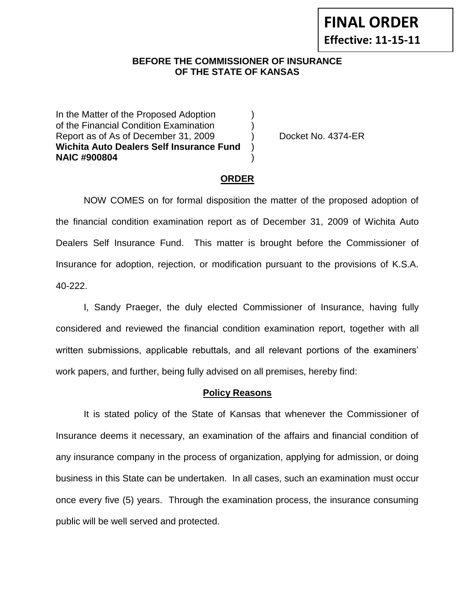**Effective: 11-15-11**

#### **BEFORE THE COMMISSIONER OF INSURANCE OF THE STATE OF KANSAS**

In the Matter of the Proposed Adoption of the Financial Condition Examination ) Report as of As of December 31, 2009 (a) Docket No. 4374-ER **Wichita Auto Dealers Self Insurance Fund** ) **NAIC #900804** )

## **ORDER**

NOW COMES on for formal disposition the matter of the proposed adoption of the financial condition examination report as of December 31, 2009 of Wichita Auto Dealers Self Insurance Fund. This matter is brought before the Commissioner of Insurance for adoption, rejection, or modification pursuant to the provisions of K.S.A. 40-222.

I, Sandy Praeger, the duly elected Commissioner of Insurance, having fully considered and reviewed the financial condition examination report, together with all written submissions, applicable rebuttals, and all relevant portions of the examiners' work papers, and further, being fully advised on all premises, hereby find:

## **Policy Reasons**

It is stated policy of the State of Kansas that whenever the Commissioner of Insurance deems it necessary, an examination of the affairs and financial condition of any insurance company in the process of organization, applying for admission, or doing business in this State can be undertaken. In all cases, such an examination must occur once every five (5) years. Through the examination process, the insurance consuming public will be well served and protected.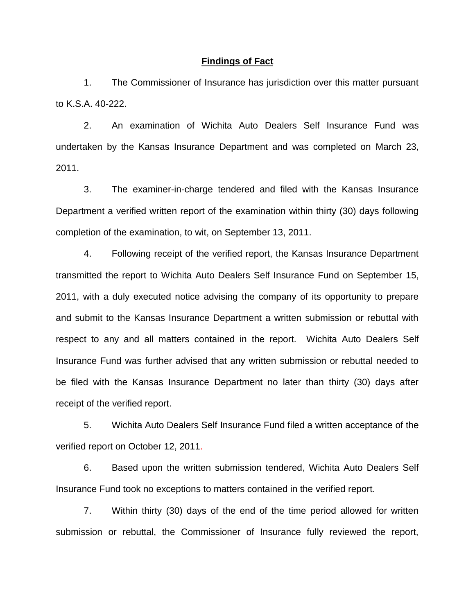#### **Findings of Fact**

1. The Commissioner of Insurance has jurisdiction over this matter pursuant to K.S.A. 40-222.

2. An examination of Wichita Auto Dealers Self Insurance Fund was undertaken by the Kansas Insurance Department and was completed on March 23, 2011.

3. The examiner-in-charge tendered and filed with the Kansas Insurance Department a verified written report of the examination within thirty (30) days following completion of the examination, to wit, on September 13, 2011.

4. Following receipt of the verified report, the Kansas Insurance Department transmitted the report to Wichita Auto Dealers Self Insurance Fund on September 15, 2011, with a duly executed notice advising the company of its opportunity to prepare and submit to the Kansas Insurance Department a written submission or rebuttal with respect to any and all matters contained in the report. Wichita Auto Dealers Self Insurance Fund was further advised that any written submission or rebuttal needed to be filed with the Kansas Insurance Department no later than thirty (30) days after receipt of the verified report.

5. Wichita Auto Dealers Self Insurance Fund filed a written acceptance of the verified report on October 12, 2011.

6. Based upon the written submission tendered, Wichita Auto Dealers Self Insurance Fund took no exceptions to matters contained in the verified report.

7. Within thirty (30) days of the end of the time period allowed for written submission or rebuttal, the Commissioner of Insurance fully reviewed the report,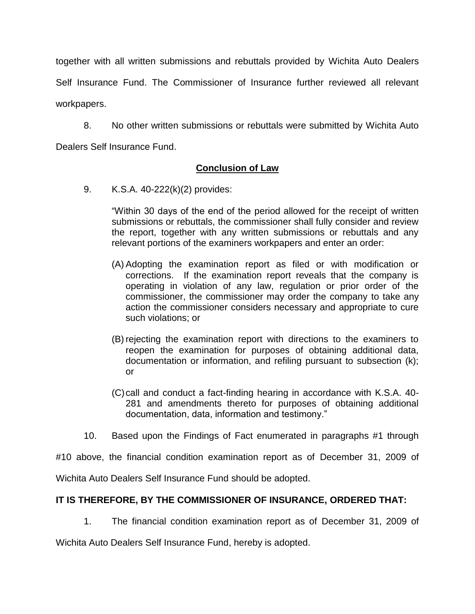together with all written submissions and rebuttals provided by Wichita Auto Dealers Self Insurance Fund. The Commissioner of Insurance further reviewed all relevant workpapers.

8. No other written submissions or rebuttals were submitted by Wichita Auto Dealers Self Insurance Fund.

**Conclusion of Law**

9. K.S.A. 40-222(k)(2) provides:

"Within 30 days of the end of the period allowed for the receipt of written submissions or rebuttals, the commissioner shall fully consider and review the report, together with any written submissions or rebuttals and any relevant portions of the examiners workpapers and enter an order:

- (A) Adopting the examination report as filed or with modification or corrections. If the examination report reveals that the company is operating in violation of any law, regulation or prior order of the commissioner, the commissioner may order the company to take any action the commissioner considers necessary and appropriate to cure such violations; or
- (B) rejecting the examination report with directions to the examiners to reopen the examination for purposes of obtaining additional data, documentation or information, and refiling pursuant to subsection (k); or
- (C)call and conduct a fact-finding hearing in accordance with K.S.A. 40- 281 and amendments thereto for purposes of obtaining additional documentation, data, information and testimony."
- 10. Based upon the Findings of Fact enumerated in paragraphs #1 through

#10 above, the financial condition examination report as of December 31, 2009 of

Wichita Auto Dealers Self Insurance Fund should be adopted.

## **IT IS THEREFORE, BY THE COMMISSIONER OF INSURANCE, ORDERED THAT:**

1. The financial condition examination report as of December 31, 2009 of

Wichita Auto Dealers Self Insurance Fund, hereby is adopted.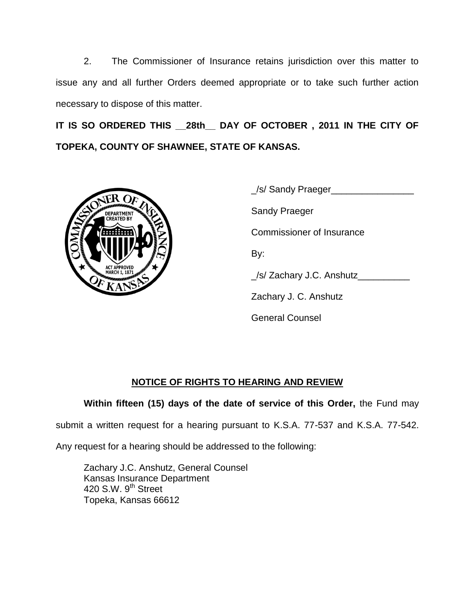2. The Commissioner of Insurance retains jurisdiction over this matter to issue any and all further Orders deemed appropriate or to take such further action necessary to dispose of this matter.

**IT IS SO ORDERED THIS \_\_28th\_\_ DAY OF OCTOBER , 2011 IN THE CITY OF TOPEKA, COUNTY OF SHAWNEE, STATE OF KANSAS.**



\_/s/ Sandy Praeger\_\_\_\_\_\_\_\_\_\_\_\_\_\_\_\_ Sandy Praeger Commissioner of Insurance By: \_/s/ Zachary J.C. Anshutz\_\_\_\_\_\_\_\_\_\_ Zachary J. C. Anshutz General Counsel

# **NOTICE OF RIGHTS TO HEARING AND REVIEW**

## **Within fifteen (15) days of the date of service of this Order,** the Fund may

submit a written request for a hearing pursuant to K.S.A. 77-537 and K.S.A. 77-542.

Any request for a hearing should be addressed to the following:

Zachary J.C. Anshutz, General Counsel Kansas Insurance Department 420 S.W. 9<sup>th</sup> Street Topeka, Kansas 66612